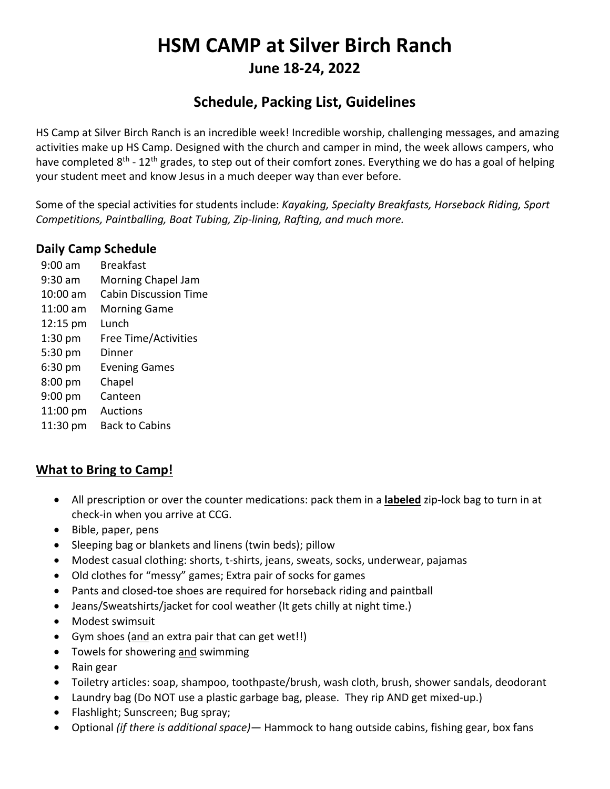# **HSM CAMP at Silver Birch Ranch June 18-24, 2022**

# **Schedule, Packing List, Guidelines**

HS Camp at Silver Birch Ranch is an incredible week! Incredible worship, challenging messages, and amazing activities make up HS Camp. Designed with the church and camper in mind, the week allows campers, who have completed 8<sup>th</sup> - 12<sup>th</sup> grades, to step out of their comfort zones. Everything we do has a goal of helping your student meet and know Jesus in a much deeper way than ever before.

Some of the special activities for students include: *Kayaking, Specialty Breakfasts, Horseback Riding, Sport Competitions, Paintballing, Boat Tubing, Zip-lining, Rafting, and much more.* 

## **Daily Camp Schedule**

9:00 am 9:30 am 10:00 am Cabin Discussion Time 11:00 am Morning Game 12:15 pm Lunch 1:30 pm 5:30 pm 6:30 pm 8:00 pm 9:00 pm 11:00 pm Auctions 11:30 pm Back to Cabins Breakfast Morning Chapel Jam Free Time/Activities Dinner Evening Games Chapel Canteen

## **What to Bring to Camp!**

- All prescription or over the counter medications: pack them in a **labeled** zip-lock bag to turn in at check-in when you arrive at CCG.
- Bible, paper, pens
- Sleeping bag or blankets and linens (twin beds); pillow
- Modest casual clothing: shorts, t-shirts, jeans, sweats, socks, underwear, pajamas
- Old clothes for "messy" games; Extra pair of socks for games
- Pants and closed-toe shoes are required for horseback riding and paintball
- Jeans/Sweatshirts/jacket for cool weather (It gets chilly at night time.)
- Modest swimsuit
- Gym shoes (and an extra pair that can get wet!!)
- Towels for showering and swimming
- Rain gear
- Toiletry articles: soap, shampoo, toothpaste/brush, wash cloth, brush, shower sandals, deodorant
- Laundry bag (Do NOT use a plastic garbage bag, please. They rip AND get mixed-up.)
- Flashlight; Sunscreen; Bug spray;
- Optional *(if there is additional space)—* Hammock to hang outside cabins, fishing gear, box fans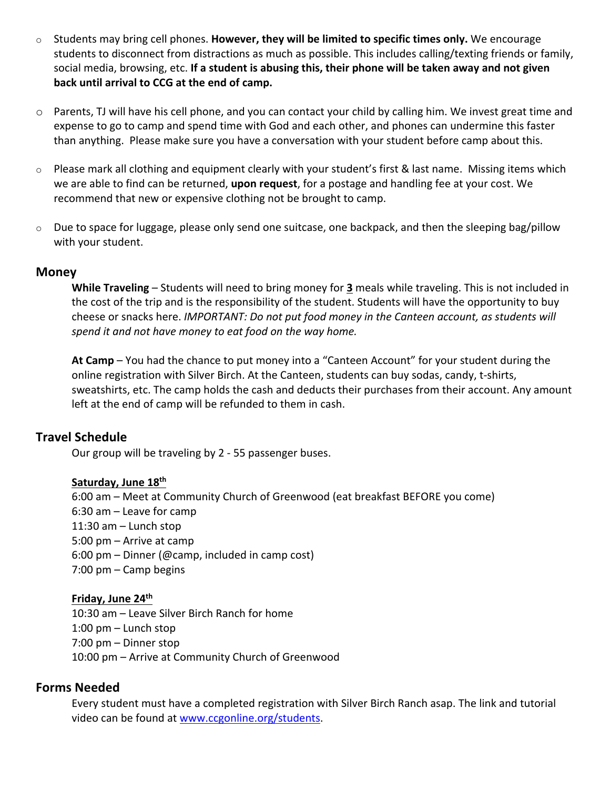- o Students may bring cell phones. **However, they will be limited to specific times only.** We encourage students to disconnect from distractions as much as possible. This includes calling/texting friends or family, social media, browsing, etc. **If a student is abusing this, their phone will be taken away and not given back until arrival to CCG at the end of camp.**
- o Parents, TJ will have his cell phone, and you can contact your child by calling him. We invest great time and expense to go to camp and spend time with God and each other, and phones can undermine this faster than anything. Please make sure you have a conversation with your student before camp about this.
- $\circ$  Please mark all clothing and equipment clearly with your student's first & last name. Missing items which we are able to find can be returned, **upon request**, for a postage and handling fee at your cost. We recommend that new or expensive clothing not be brought to camp.
- o Due to space for luggage, please only send one suitcase, one backpack, and then the sleeping bag/pillow with your student.

#### **Money**

**While Traveling** – Students will need to bring money for **3** meals while traveling. This is not included in the cost of the trip and is the responsibility of the student. Students will have the opportunity to buy cheese or snacks here. *IMPORTANT: Do not put food money in the Canteen account, as students will spend it and not have money to eat food on the way home.*

**At Camp** – You had the chance to put money into a "Canteen Account" for your student during the online registration with Silver Birch. At the Canteen, students can buy sodas, candy, t-shirts, sweatshirts, etc. The camp holds the cash and deducts their purchases from their account. Any amount left at the end of camp will be refunded to them in cash.

#### **Travel Schedule**

Our group will be traveling by 2 - 55 passenger buses.

#### **Saturday, June 18th**

6:00 am – Meet at Community Church of Greenwood (eat breakfast BEFORE you come) 6:30 am – Leave for camp 11:30 am – Lunch stop 5:00 pm – Arrive at camp 6:00 pm – Dinner (@camp, included in camp cost) 7:00 pm – Camp begins

#### **Friday, June 24th**

10:30 am – Leave Silver Birch Ranch for home 1:00 pm – Lunch stop 7:00 pm – Dinner stop 10:00 pm – Arrive at Community Church of Greenwood

#### **Forms Needed**

Every student must have a completed registration with Silver Birch Ranch asap. The link and tutorial video can be found at www.ccgonline.org/students.